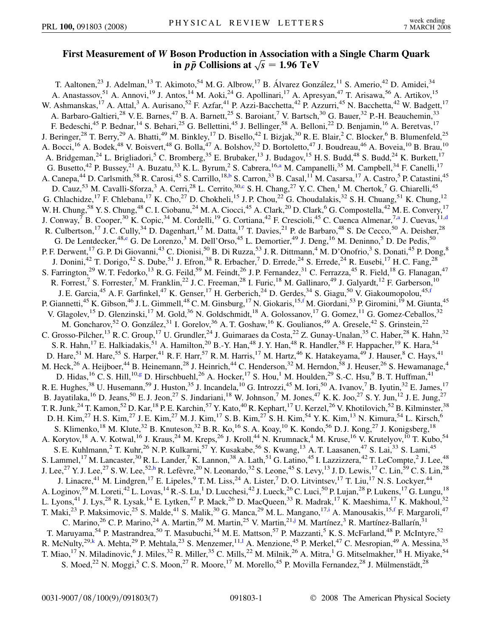## **First Measurement of** *W* **Boson Production in Association with a Single Charm Quark**  $\frac{1}{2}$  *i*n *pp* Collisions at  $\sqrt{s} = 1.96 \text{ TeV}$

<span id="page-0-8"></span><span id="page-0-7"></span><span id="page-0-6"></span><span id="page-0-5"></span><span id="page-0-4"></span><span id="page-0-3"></span><span id="page-0-2"></span><span id="page-0-1"></span><span id="page-0-0"></span>T. Aaltonen,<sup>23</sup> J. Adelman,<sup>13</sup> T. Akimoto,<sup>54</sup> M. G. Albrow,<sup>17</sup> B. Álvarez González,<sup>11</sup> S. Amerio,<sup>42</sup> D. Amidei,<sup>34</sup> A. Anastassov,<sup>51</sup> A. Annovi,<sup>19</sup> J. Antos,<sup>14</sup> M. Aoki,<sup>24</sup> G. Apollinari,<sup>17</sup> A. Apresyan,<sup>47</sup> T. Arisawa,<sup>56</sup> A. Artikov,<sup>15</sup> W. Ashmanskas,<sup>17</sup> A. Attal,<sup>3</sup> A. Aurisano,<sup>52</sup> F. Azfar,<sup>41</sup> P. Azzi-Bacchetta,<sup>42</sup> P. Azzurri,<sup>45</sup> N. Bacchetta,<sup>42</sup> W. Badgett,<sup>17</sup> A. Barbaro-Galtieri,<sup>28</sup> V. E. Barnes,<sup>47</sup> B. A. Barnett,<sup>25</sup> S. Baroiant,<sup>7</sup> V. Bartsch,<sup>30</sup> G. Bauer,<sup>32</sup> P.-H. Beauchemin,<sup>33</sup> F. Bedeschi,<sup>45</sup> P. Bednar,<sup>14</sup> S. Behari,<sup>25</sup> G. Bellettini,<sup>45</sup> J. Bellinger,<sup>58</sup> A. Belloni,<sup>22</sup> D. Benjamin,<sup>16</sup> A. Beretvas,<sup>17</sup> J. Beringer,<sup>28</sup> T. Berry,<sup>29</sup> A. Bhatti,<sup>49</sup> M. Binkley,<sup>17</sup> D. Bisello,<sup>42</sup> I. Bizjak,<sup>30</sup> R. E. Blair,<sup>2</sup> C. Blocker,<sup>6</sup> B. Blumenfeld,<sup>25</sup> A. Bocci,<sup>16</sup> A. Bodek,<sup>48</sup> V. Boisvert,<sup>48</sup> G. Bolla,<sup>47</sup> A. Bolshov,<sup>32</sup> D. Bortoletto,<sup>47</sup> J. Boudreau,<sup>46</sup> A. Boveia,<sup>10</sup> B. Brau,<sup>10</sup> A. Bridgeman,<sup>24</sup> L. Brigliadori,<sup>5</sup> C. Bromberg,<sup>35</sup> E. Brubaker,<sup>13</sup> J. Budagov,<sup>15</sup> H. S. Budd,<sup>48</sup> S. Budd,<sup>24</sup> K. Burkett,<sup>17</sup> G. Busetto,<sup>42</sup> P. Bussey,<sup>21</sup> A. Buzatu,<sup>33</sup> K. L. Byrum,<sup>2</sup> S. Cabrera,<sup>16[,a](#page-5-0)</sup> M. Campanelli,<sup>35</sup> M. Campbell,<sup>34</sup> F. Canelli,<sup>17</sup> A. Canepa,<sup>44</sup> D. Carlsmith,<sup>58</sup> R. Carosi,<sup>45</sup> S. Carrillo,<sup>18,[b](#page-5-1)</sup> S. Carron,<sup>33</sup> B. Casal,<sup>11</sup> M. Casarsa,<sup>17</sup> A. Castro,<sup>5</sup> P. Catastini,<sup>45</sup> D. Cauz,<sup>53</sup> M. Cavalli-Sforza,<sup>3</sup> A. Cerri,<sup>28</sup> L. Cerrito,<sup>30[,c](#page-6-0)</sup> S. H. Chang,<sup>27</sup> Y. C. Chen,<sup>1</sup> M. Chertok,<sup>7</sup> G. Chiarelli,<sup>45</sup> G. Chlachidze, <sup>17</sup> F. Chlebana, <sup>17</sup> K. Cho, <sup>27</sup> D. Chokheli, <sup>15</sup> J. P. Chou, <sup>22</sup> G. Choudalakis, <sup>32</sup> S. H. Chuang, <sup>51</sup> K. Chung, <sup>12</sup> W. H. Chung,<sup>58</sup> Y. S. Chung,<sup>48</sup> C. I. Ciobanu,<sup>24</sup> M. A. Ciocci,<sup>45</sup> A. Clark,<sup>20</sup> D. Clark,<sup>6</sup> G. Compostella,<sup>42</sup> M. E. Convery,<sup>17</sup> J. Conw[a](#page-5-0)y,<sup>7</sup> B. Cooper,<sup>30</sup> K. Copic,<sup>34</sup> M. Cor[d](#page-6-1)elli,<sup>19</sup> G. Cortiana,<sup>42</sup> F. Crescioli,<sup>45</sup> C. Cuenca Almenar,<sup>7,a</sup> J. Cuevas,<sup>11,d</sup> R. Culbertson,<sup>17</sup> J. C. Cully,<sup>34</sup> D. Dagenhart,<sup>17</sup> M. Datta,<sup>17</sup> T. Davies,<sup>21</sup> P. de Barbaro,<sup>48</sup> S. De Cecco,<sup>50</sup> A. Deisher,<sup>28</sup> G. De Lentdecker,<sup>48[,e](#page-6-2)</sup> G. De Lorenzo,<sup>3</sup> M. Dell'Orso,<sup>45</sup> L. Demortier,<sup>49</sup> J. Deng,<sup>16</sup> M. Deninno,<sup>5</sup> D. De Pedis,<sup>50</sup> P. F. Derwent, <sup>17</sup> G. P. Di Giovanni, <sup>43</sup> C. Dionisi, <sup>50</sup> B. Di Ruzza, <sup>53</sup> J. R. Dittmann, <sup>4</sup> M. D'Onofrio, <sup>3</sup> S. Donati, <sup>45</sup> P. Dong, <sup>8</sup> J. Donini,<sup>42</sup> T. Dorigo,<sup>42</sup> S. Dube,<sup>51</sup> J. Efron,<sup>38</sup> R. Erbacher,<sup>7</sup> D. Errede,<sup>24</sup> S. Errede,<sup>24</sup> R. Eusebi,<sup>17</sup> H. C. Fang,<sup>28</sup> S. Farrington,<sup>29</sup> W. T. Fedorko,<sup>13</sup> R. G. Feild,<sup>59</sup> M. Feindt,<sup>26</sup> J. P. Fernandez,<sup>31</sup> C. Ferrazza,<sup>45</sup> R. Field,<sup>18</sup> G. Flanagan,<sup>47</sup> R. Forrest,<sup>7</sup> S. Forrester,<sup>7</sup> M. Franklin,<sup>22</sup> J. C. Freeman,<sup>28</sup> I. Furic,<sup>18</sup> M. Gallinaro,<sup>49</sup> J. Galyardt,<sup>12</sup> F. Garberson,<sup>10</sup> J. E. Garcia,<sup>45</sup> A. F. Gar[f](#page-6-3)inkel,<sup>47</sup> K. Genser,<sup>17</sup> H. Gerberich,<sup>24</sup> D. Gerdes,<sup>34</sup> S. Giagu,<sup>50</sup> V. Giakoumopolou,<sup>45,f</sup> P. Giannetti,<sup>45</sup> K. Gibson,<sup>46</sup> J. L. Gimmell,<sup>48</sup> C. M. Ginsburg,<sup>17</sup> N. Giokaris,<sup>15[,f](#page-6-3)</sup> M. Giordani,<sup>53</sup> P. Giromini,<sup>19</sup> M. Giunta,<sup>45</sup> V. Glagolev,<sup>15</sup> D. Glenzinski,<sup>17</sup> M. Gold,<sup>36</sup> N. Goldschmidt,<sup>18</sup> A. Golossanov,<sup>17</sup> G. Gomez,<sup>11</sup> G. Gomez-Ceballos,<sup>32</sup> M. Goncharov,<sup>52</sup> O. González,<sup>31</sup> I. Gorelov,<sup>36</sup> A. T. Goshaw,<sup>16</sup> K. Goulianos,<sup>49</sup> A. Gresele,<sup>42</sup> S. Grinstein,<sup>22</sup> C. Grosso-Pilcher,<sup>13</sup> R. C. Group,<sup>17</sup> U. Grundler,<sup>24</sup> J. Guimaraes da Costa,<sup>22</sup> Z. Gunay-Unalan,<sup>35</sup> C. Haber,<sup>28</sup> K. Hahn,<sup>32</sup> S. R. Hahn,<sup>17</sup> E. Halkiadakis,<sup>51</sup> A. Hamilton,<sup>20</sup> B.-Y. Han,<sup>48</sup> J. Y. Han,<sup>48</sup> R. Handler,<sup>58</sup> F. Happacher,<sup>19</sup> K. Hara,<sup>54</sup> D. Hare,<sup>51</sup> M. Hare,<sup>55</sup> S. Harper,<sup>41</sup> R. F. Harr,<sup>57</sup> R. M. Harris,<sup>17</sup> M. Hartz,<sup>46</sup> K. Hatakeyama,<sup>49</sup> J. Hauser,<sup>8</sup> C. Hays,<sup>41</sup> M. Heck,<sup>26</sup> A. Heijboer,<sup>44</sup> B. Heinemann,<sup>28</sup> J. Heinrich,<sup>44</sup> C. Henderson,<sup>32</sup> M. Herndon,<sup>58</sup> J. Heuser,<sup>26</sup> S. Hewamanage,<sup>4</sup> D. Hidas, <sup>16</sup> C. S. Hill, <sup>10[,g](#page-6-4)</sup> D. Hirschbuehl, <sup>26</sup> A. Hocker, <sup>17</sup> S. Hou, <sup>1</sup> M. Houlden, <sup>29</sup> S.-C. Hsu, <sup>9</sup> B. T. Huffman, <sup>41</sup> R. E. Hughes,<sup>38</sup> U. Husemann,<sup>59</sup> J. Huston,<sup>35</sup> J. Incandela,<sup>10</sup> G. Introzzi,<sup>45</sup> M. Iori,<sup>50</sup> A. Ivanov,<sup>7</sup> B. Iyutin,<sup>32</sup> E. James,<sup>17</sup> B. Jayatilaka, <sup>16</sup> D. Jeans, <sup>50</sup> E. J. Jeon, <sup>27</sup> S. Jindariani, <sup>18</sup> W. Johnson, <sup>7</sup> M. Jones, <sup>47</sup> K. K. Joo, <sup>27</sup> S. Y. Jun, <sup>12</sup> J. E. Jung, <sup>27</sup> T. R. Junk,<sup>24</sup> T. Kamon,<sup>52</sup> D. Kar,<sup>18</sup> P. E. Karchin,<sup>57</sup> Y. Kato,<sup>40</sup> R. Kephart,<sup>17</sup> U. Kerzel,<sup>26</sup> V. Khotilovich,<sup>52</sup> B. Kilminster,<sup>38</sup> D. H. Kim,<sup>27</sup> H. S. Kim,<sup>27</sup> J. E. Kim,<sup>27</sup> M. J. Kim,<sup>17</sup> S. B. Kim,<sup>27</sup> S. H. Kim,<sup>54</sup> Y. K. Kim,<sup>13</sup> N. Kimura,<sup>54</sup> L. Kirsch,<sup>6</sup> S. Klimenko,<sup>18</sup> M. Klute,<sup>32</sup> B. Knuteson,<sup>32</sup> B. R. Ko,<sup>16</sup> S. A. Koay,<sup>10</sup> K. Kondo,<sup>56</sup> D. J. Kong,<sup>27</sup> J. Konigsberg,<sup>18</sup> A. Korytov,<sup>18</sup> A. V. Kotwal,<sup>16</sup> J. Kraus,<sup>24</sup> M. Kreps,<sup>26</sup> J. Kroll,<sup>44</sup> N. Krumnack,<sup>4</sup> M. Kruse,<sup>16</sup> V. Krutelyov,<sup>10</sup> T. Kubo,<sup>54</sup> S. E. Kuhlmann,<sup>2</sup> T. Kuhr,<sup>26</sup> N. P. Kulkarni,<sup>57</sup> Y. Kusakabe,<sup>56</sup> S. Kwang,<sup>13</sup> A. T. Laasanen,<sup>47</sup> S. Lai,<sup>33</sup> S. Lami,<sup>45</sup> S. Lammel,<sup>17</sup> M. Lancaster,<sup>30</sup> R. L. Lander,<sup>7</sup> K. Lannon,<sup>38</sup> A. Lath,<sup>51</sup> G. Latino,<sup>45</sup> I. Lazzizzera,<sup>42</sup> T. LeCompte,<sup>2</sup> J. Lee,<sup>48</sup> J. Lee,<sup>27</sup> Y. J. Lee,<sup>27</sup> S. W. Lee,<sup>52,[h](#page-6-5)</sup> R. Lefèvre,<sup>20</sup> N. Leonardo,<sup>32</sup> S. Leone,<sup>45</sup> S. Levy,<sup>13</sup> J. D. Lewis,<sup>17</sup> C. Lin,<sup>59</sup> C. S. Lin,<sup>28</sup> J. Linacre,<sup>41</sup> M. Lindgren,<sup>17</sup> E. Lipeles,<sup>9</sup> T. M. Liss,<sup>24</sup> A. Lister,<sup>7</sup> D. O. Litvintsev,<sup>17</sup> T. Liu,<sup>17</sup> N. S. Lockyer,<sup>44</sup> A. Loginov,<sup>59</sup> M. Loreti,<sup>42</sup> L. Lovas,<sup>14</sup> R.-S. Lu,<sup>1</sup> D. Lucchesi,<sup>42</sup> J. Lueck,<sup>26</sup> C. Luci,<sup>50</sup> P. Lujan,<sup>28</sup> P. Lukens,<sup>17</sup> G. Lungu,<sup>18</sup> L. Lyons,<sup>41</sup> J. Lys,<sup>28</sup> R. Lysak,<sup>14</sup> E. Lytken,<sup>47</sup> P. Mack,<sup>26</sup> D. MacQueen,<sup>33</sup> R. Madrak,<sup>17</sup> K. Maeshima,<sup>17</sup> K. Makhoul,<sup>32</sup> T. Mak[i](#page-6-6),<sup>23</sup> P. Maksimovic,<sup>25</sup> S. Malde,<sup>41</sup> S. Malik,<sup>30</sup> G. Manca,<sup>29</sup> M. L. Mangano,<sup>17,i</sup> A. Manousakis,<sup>15,[f](#page-6-3)</sup> F. Margaroli,<sup>47</sup> C. Marino,<sup>26</sup> C. P. Marino,<sup>24</sup> A. Martin,<sup>59</sup> M. Martin,<sup>25</sup> V. Martin,<sup>21[,j](#page-6-7)</sup> M. Martínez,<sup>3</sup> R. Martínez-Ballarín,<sup>31</sup> T. Maruyama,<sup>54</sup> P. Mastrandrea,<sup>50</sup> T. Masubuchi,<sup>54</sup> M. E. Mattson,<sup>57</sup> P. Mazzanti,<sup>5</sup> K. S. McFarland,<sup>48</sup> P. McIntyre,<sup>52</sup> R. McNu[l](#page-6-9)ty,  $29, k$  A. Mehta,  $29$  P. Mehtala,  $23$  S. Menzemer,  $11, l$  A. Menzione,  $45$  P. Merkel,  $47$  C. Mesropian,  $49$  A. Messina,  $35$ T. Miao,<sup>17</sup> N. Miladinovic,<sup>6</sup> J. Miles,<sup>32</sup> R. Miller,<sup>35</sup> C. Mills,<sup>22</sup> M. Milnik,<sup>26</sup> A. Mitra,<sup>1</sup> G. Mitselmakher,<sup>18</sup> H. Miyake,<sup>54</sup> S. Moed,<sup>22</sup> N. Moggi,<sup>5</sup> C. S. Moon,<sup>27</sup> R. Moore,<sup>17</sup> M. Morello,<sup>45</sup> P. Movilla Fernandez,<sup>28</sup> J. Mülmenstädt,<sup>28</sup>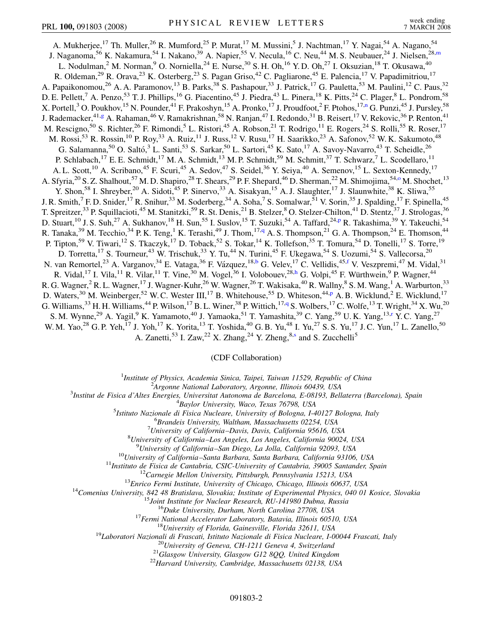<span id="page-1-2"></span><span id="page-1-1"></span><span id="page-1-0"></span>A. Mukherjee,<sup>17</sup> Th. Muller,<sup>26</sup> R. Mumford,<sup>25</sup> P. Murat,<sup>17</sup> M. Mussini,<sup>5</sup> J. Nachtman,<sup>17</sup> Y. Nagai,<sup>54</sup> A. Nagano,<sup>54</sup> J. Nagano[m](#page-6-10)a,<sup>56</sup> K. Nakamura,<sup>54</sup> I. Nakano,<sup>39</sup> A. Napier,<sup>55</sup> V. Necula,<sup>16</sup> C. Neu,<sup>44</sup> M. S. Neubauer,<sup>24</sup> J. Nielsen,<sup>28,m</sup> L. Nodulman,<sup>2</sup> M. Norman,<sup>9</sup> O. Norniella,<sup>24</sup> E. Nurse,<sup>30</sup> S. H. Oh,<sup>16</sup> Y. D. Oh,<sup>27</sup> I. Oksuzian,<sup>18</sup> T. Okusawa,<sup>40</sup> R. Oldeman,<sup>29</sup> R. Orava,<sup>23</sup> K. Osterberg,<sup>23</sup> S. Pagan Griso,<sup>42</sup> C. Pagliarone,<sup>45</sup> E. Palencia,<sup>17</sup> V. Papadimitriou,<sup>17</sup> A. Papaikonomou,<sup>26</sup> A. A. Paramonov,<sup>13</sup> B. Parks,<sup>38</sup> S. Pashapour,<sup>33</sup> J. Patrick,<sup>17</sup> G. Pauletta,<sup>53</sup> M. Paulini,<sup>12</sup> C. Paus,<sup>32</sup> D. E. Pellett,<sup>7</sup> A. Penzo,<sup>53</sup> T. J. Phillips,<sup>16</sup> G. Piacentino,<sup>45</sup> J. Piedra,<sup>43</sup> L. Pinera,<sup>18</sup> K. Pitts,<sup>24</sup> C. Plager,<sup>8</sup> L. Pondrom,<sup>58</sup> X. Portell,<sup>3</sup> O. Poukhov,<sup>15</sup> N. Pounder,<sup>41</sup> F. Prakoshyn,<sup>15</sup> A. Pronko,<sup>17</sup> J. Proudfoot,<sup>2</sup> F. Ptohos,<sup>17[,n](#page-6-11)</sup> G. Punzi,<sup>45</sup> J. Pursley,<sup>58</sup> J. Rademacker,<sup>41[,g](#page-6-4)</sup> A. Rahaman,<sup>46</sup> V. Ramakrishnan,<sup>58</sup> N. Ranjan,<sup>47</sup> I. Redondo,<sup>31</sup> B. Reisert,<sup>17</sup> V. Rekovic,<sup>36</sup> P. Renton,<sup>41</sup> M. Rescigno,<sup>50</sup> S. Richter,<sup>26</sup> F. Rimondi,<sup>5</sup> L. Ristori,<sup>45</sup> A. Robson,<sup>21</sup> T. Rodrigo,<sup>11</sup> E. Rogers,<sup>24</sup> S. Rolli,<sup>55</sup> R. Roser,<sup>17</sup> M. Rossi,<sup>53</sup> R. Rossin,<sup>10</sup> P. Roy,<sup>33</sup> A. Ruiz,<sup>11</sup> J. Russ,<sup>12</sup> V. Rusu,<sup>17</sup> H. Saarikko,<sup>23</sup> A. Safonov,<sup>52</sup> W. K. Sakumoto,<sup>48</sup> G. Salamanna,<sup>50</sup> O. Saltó,<sup>3</sup> L. Santi,<sup>53</sup> S. Sarkar,<sup>50</sup> L. Sartori,<sup>45</sup> K. Sato,<sup>17</sup> A. Savoy-Navarro,<sup>43</sup> T. Scheidle,<sup>26</sup> P. Schlabach,<sup>17</sup> E. E. Schmidt,<sup>17</sup> M. A. Schmidt,<sup>13</sup> M. P. Schmidt,<sup>59</sup> M. Schmitt,<sup>37</sup> T. Schwarz,<sup>7</sup> L. Scodellaro,<sup>11</sup> A. L. Scott,<sup>10</sup> A. Scribano,<sup>45</sup> F. Scuri,<sup>45</sup> A. Sedov,<sup>47</sup> S. Seidel,<sup>36</sup> Y. Seiya,<sup>40</sup> A. Semenov,<sup>15</sup> L. Sexton-Kennedy,<sup>17</sup> A. Sfyria,<sup>20</sup> S. Z. Shalhout,<sup>57</sup> M. D. Shapiro,<sup>28</sup> T. Shears,<sup>29</sup> P. F. Shepard,<sup>46</sup> D. Sherman,<sup>22</sup> M. Shimojima,<sup>54,0</sup> M. Shochet,<sup>13</sup> Y. Shon,<sup>58</sup> I. Shreyber,<sup>20</sup> A. Sidoti,<sup>45</sup> P. Sinervo,<sup>33</sup> A. Sisakyan,<sup>15</sup> A. J. Slaughter,<sup>17</sup> J. Slaunwhite,<sup>38</sup> K. Sliwa,<sup>55</sup> J. R. Smith,<sup>7</sup> F. D. Snider,<sup>17</sup> R. Snihur,<sup>33</sup> M. Soderberg,<sup>34</sup> A. Soha,<sup>7</sup> S. Somalwar,<sup>51</sup> V. Sorin,<sup>35</sup> J. Spalding,<sup>17</sup> F. Spinella,<sup>45</sup> T. Spreitzer,<sup>33</sup> P. Squillacioti,<sup>45</sup> M. Stanitzki,<sup>59</sup> R. St. Denis,<sup>21</sup> B. Stelzer,<sup>8</sup> O. Stelzer-Chilton,<sup>41</sup> D. Stentz,<sup>37</sup> J. Strologas,<sup>36</sup> D. Stuart, <su[p](#page-6-13)>10</sup> J. S. Suh, <sup>27</sup> A. Sukhanov, <sup>18</sup> H. Sun, <sup>55</sup> I. Suslov, <sup>15</sup> T. Suzuki, <sup>54</sup> A. Taffard, <sup>24,p</sup> R. Takashima, <sup>39</sup> Y. Takeuchi, <sup>54</sup> R. Tanaka,<sup>39</sup> M. Tecchio,<sup>34</sup> P. K. Teng,<sup>1</sup> K. Terashi,<sup>49</sup> J. Thom,<sup>17,[q](#page-6-14)</sup> A. S. Thompson,<sup>21</sup> G. A. Thompson,<sup>24</sup> E. Thomson,<sup>44</sup> P. Tipton,<sup>59</sup> V. Tiwari,<sup>12</sup> S. Tkaczyk,<sup>17</sup> D. Toback,<sup>52</sup> S. Tokar,<sup>14</sup> K. Tollefson,<sup>35</sup> T. Tomura,<sup>54</sup> D. Tonelli,<sup>17</sup> S. Torre,<sup>19</sup> D. Torretta,<sup>17</sup> S. Tourneur,<sup>43</sup> W. Trischuk,<sup>33</sup> Y. Tu,<sup>44</sup> N. Turini,<sup>45</sup> F. Ukegawa,<sup>54</sup> S. Uozumi,<sup>54</sup> S. Vallecorsa,<sup>20</sup> N. van Remortel,<sup>23</sup> A. Varganov,<sup>34</sup> E. Vataga,<sup>36</sup> F. Vázquez,<sup>18[,b](#page-5-1)</sup> G. Velev,<sup>17</sup> C. Vellidis,<sup>45,[f](#page-6-3)</sup> V. Veszpremi,<sup>47</sup> M. Vidal,<sup>31</sup> R. Vidal,<sup>17</sup> I. Vila,<sup>11</sup> R. Vilar,<sup>11</sup> T. Vine,<sup>30</sup> M. Vogel,<sup>36</sup> I. Volobouev,<sup>28,[h](#page-6-5)</sup> G. Volpi,<sup>45</sup> F. Würthwein,<sup>9</sup> P. Wagner,<sup>44</sup> R. G. Wagner,<sup>2</sup> R. L. Wagner,<sup>17</sup> J. Wagner-Kuhr,<sup>26</sup> W. Wagner,<sup>26</sup> T. Wakisaka,<sup>40</sup> R. Wallny,<sup>8</sup> S. M. Wang,<sup>1</sup> A. Warburton,<sup>33</sup> D. Waters,<su[p](#page-6-13)>30</sup> M. Weinberger,<sup>52</sup> W. C. Wester III,<sup>17</sup> B. Whitehouse,<sup>55</sup> D. Whiteson,<sup>44,p</sup> A. B. Wicklund,<sup>2</sup> E. Wicklund,<sup>17</sup> G. Williams,  $33$  H. H. Williams,  $44$  P. Wilson,  $17$  B. L. Winer,  $38$  P. Wittich,  $17.4$  S. Wolbers,  $17$  C. Wolfe,  $13$  T. Wright,  $34$  X. Wu,  $20$ S. M. Wynne,<sup>29</sup> A. Yagil,<sup>9</sup> K. Yamamoto,<sup>40</sup> J. Yamaoka,<sup>51</sup> T. Yamashita,<sup>39</sup> C. Yang,<sup>59</sup> U. K. Yang,<sup>13,[r](#page-6-15)</sup> Y. C. Yang,<sup>27</sup> W. M. Yao,<sup>28</sup> G. P. Yeh,<sup>17</sup> J. Yoh,<sup>17</sup> K. Yorita,<sup>13</sup> T. Yoshida,<sup>40</sup> G. B. Yu,<sup>48</sup> I. Yu,<sup>27</sup> S. S. Yu,<sup>17</sup> J. C. Yun,<sup>17</sup> L. Zanello,<sup>50</sup> A. Zanetti,<sup>53</sup> I. Zaw,<sup>22</sup> X. Zhang,<sup>24</sup> Y. Zheng,<sup>8[,s](#page-6-16)</sup> and S. Zucchelli<sup>5</sup>

(CDF Collaboration)

<sup>1</sup>*Institute of Physics, Academia Sinica, Taipei, Taiwan 11529, Republic of China*<br><sup>2</sup><sup>4</sup> *League Mational Laboratory, Argonna Illinois 60430, USA* 

<span id="page-1-6"></span><span id="page-1-5"></span><span id="page-1-4"></span><span id="page-1-3"></span>*Argonne National Laboratory, Argonne, Illinois 60439, USA*<br><sup>3</sup> *Argonne National Laboratory, Argonne, Illinois 60439, USA*<sup>3</sup>

*Institut de Fisica d'Altes Energies, Universitat Autonoma de Barcelona, E-08193, Bellaterra (Barcelona), Spain* <sup>4</sup> *Baylor University, Waco, Texas 76798, USA* <sup>5</sup>

*Istituto Nazionale di Fisica Nucleare, University of Bologna, I-40127 Bologna, Italy* <sup>6</sup>

*Brandeis University, Waltham, Massachusetts 02254, USA* <sup>7</sup>

*University of California –Davis, Davis, California 95616, USA* <sup>8</sup>

*University of California–Los Angeles, Los Angeles, California 90024, USA* <sup>9</sup>

 $\begin{array}{r} \text{^{10}University of California–Santa Barbara, Santa Barbara, California 93106, USA}\\ \text{^{11}Institution de Fisica de Cantabria, CSIC-University of Cantabria, 39005 Santander, Spain}\\ \text{^{12}Carnegie Mellon University, Pittsburg, Pennsylvania 15213, USA\\ \text{^{13}Enrico Fermi Institute, University of Chicago, Chicago, Illinois 60637, USA\\ \text{^{14}Comenius University-8B rationalwa, Solovalia; Institute for Nuclear Research, RU-141980 Dubna, Russia\\ \text{^{15}Joint Institute for Nuclear Research, RU-141980 Dubna, Russia\\ \text{^{16}Duke University, Durham, North Carolina 27708, USA$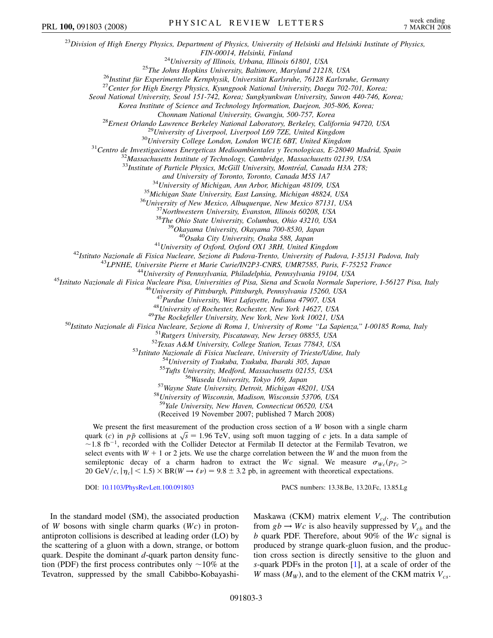<sup>23</sup>*Division of High Energy Physics, Department of Physics, University of Helsinki and Helsinki Institute of Physics,* FIN-00014, Helsinki, Finland<br><sup>24</sup>University of Illinois, Urbana, Illinois 61801, USA<br><sup>25</sup>The Johns Hopkins University, Baltimore, Maryland 21218, USA<br><sup>26</sup>Institut für Experimentelle Kernphysik, Universität Karlsruhe, 76128 *Seoul National University, Seoul 151-742, Korea; Sungkyunkwan University, Suwon 440-746, Korea; Korea Institute of Science and Technology Information, Daejeon, 305-806, Korea;* Chonnam National University, Gwangju, 500-757, Korea<br><sup>28</sup>Ernest Orlando Lawrence Berkeley National Laboratory, Berkeley, California 94720, USA<br><sup>29</sup>University of Liverpool, Liverpool L69 7ZE, United Kingdom<br><sup>30</sup>University <sup>33</sup>Institute of Particle Physics, McGill University, Montréal, Canada H3A 2T8; and University of Toronto, Toronto, Canada M5S 1A7<br><sup>34</sup>University of Michigan, Ann Arbor, Michigan 48109, USA<br><sup>35</sup>Michigan State University, East Lansing, Michigan 48824, USA<br><sup>36</sup>University of New Mexico, Albuquerque, New <sup>41</sup>University of Oxford, Oxford OX1 3RH, United Kingdom<br><sup>42</sup>Istituto Nazionale di Fisica Nucleare, Sezione di Padova-Trento, University of Padova, I-35131 Padova, Italy<br><sup>43</sup>LPNHE, Universite Pierre et Marie Curie/IN2P3-C <sup>47</sup>Purdue University, West Lafayette, Indiana 47907, USA<br><sup>48</sup>University of Rochester, Rochester, New York 14627, USA<br><sup>48</sup>University of Rochester, Rochester, New York 14627, USA<br><sup>50</sup>Ustituto Nazionale di Fisica Nucleare, <sup>59</sup>*Yale University, New Haven, Connecticut 06520, USA* (Received 19 November 2007; published 7 March 2008) We present the first measurement of the production cross section of a *W* boson with a single charm we present the first measurement of the production cross section of a *w* boson with a single charing<br>quark (*c*) in  $p\bar{p}$  collisions at  $\sqrt{s} = 1.96$  TeV, using soft muon tagging of *c* jets. In a data sample of  $\sim$  1.8 fb<sup>-1</sup>, recorded with the Collider Detector at Fermilab II detector at the Fermilab Tevatron, we select events with  $W + 1$  or 2 jets. We use the charge correlation between the *W* and the muon from the semileptonic decay of a charm hadron to extract the *Wc* signal. We measure  $\sigma_{Wc}(p_{Tc})$ 20 GeV/c,  $|\eta_c|$  < 1.5) × BR( $W \rightarrow \ell \nu$ ) = 9.8 ± 3.2 pb, in agreement with theoretical expectations. DOI: [10.1103/PhysRevLett.100.091803](http://dx.doi.org/10.1103/PhysRevLett.100.091803) PACS numbers: 13.38.Be, 13.20.Fc, 13.85.Lg In the standard model (SM), the associated production Maskawa (CKM) matrix element  $V_{cd}$ . The contribution PRL 100, 091803 (2008) PHYSICAL REVIEW LETTERS week ending

of *W* bosons with single charm quarks (*Wc*) in protonantiproton collisions is described at leading order (LO) by the scattering of a gluon with a down, strange, or bottom quark. Despite the dominant *d*-quark parton density function (PDF) the first process contributes only  $\sim$ 10% at the Tevatron, suppressed by the small Cabibbo-Kobayashifrom  $gb \rightarrow Wc$  is also heavily suppressed by  $V_{cb}$  and the *b* quark PDF. Therefore, about 90% of the *Wc* signal is produced by strange quark-gluon fusion, and the production cross section is directly sensitive to the gluon and *s*-quark PDFs in the proton [[1](#page-6-17)], at a scale of order of the *W* mass  $(M_W)$ , and to the element of the CKM matrix  $V_{cs}$ .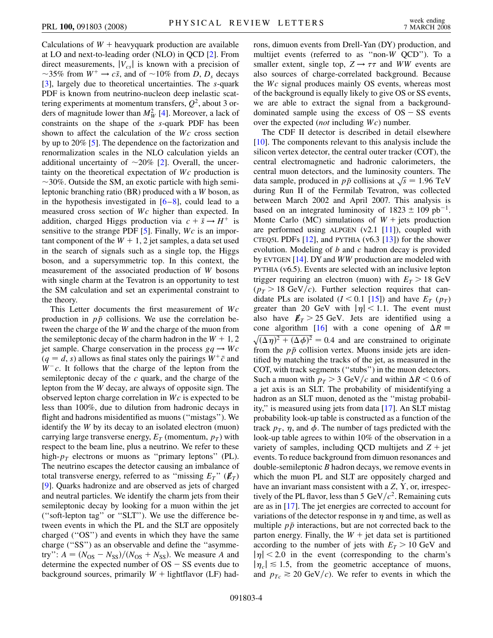Calculations of  $W$  + heavyquark production are available at LO and next-to-leading order (NLO) in QCD [\[2](#page-6-18)]. From direct measurements,  $|V_{cs}|$  is known with a precision of ~35% from  $W^+ \rightarrow c\bar{s}$ , and of ~10% from *D*, *D<sub>s</sub>* decays [\[3\]](#page-6-19), largely due to theoretical uncertainties. The *s*-quark PDF is known from neutrino-nucleon deep inelastic scattering experiments at momentum transfers,  $Q^2$ , about 3 orders of magnitude lower than  $M_W^2$  [\[4\]](#page-6-20). Moreover, a lack of constraints on the shape of the *s*-quark PDF has been shown to affect the calculation of the *Wc* cross section by up to 20% [\[5\]](#page-6-21). The dependence on the factorization and renormalization scales in the NLO calculation yields an additional uncertainty of  $\sim$  [2](#page-6-18)0% [2]. Overall, the uncertainty on the theoretical expectation of *Wc* production is  $\sim$ 30%. Outside the SM, an exotic particle with high semileptonic branching ratio (BR) produced with a *W* boson, as in the hypothesis investigated in  $[6–8]$  $[6–8]$  $[6–8]$  $[6–8]$ , could lead to a measured cross section of *Wc* higher than expected. In addition, charged Higgs production via  $c + \bar{s} \rightarrow H^+$  is sensitive to the strange PDF [\[5](#page-6-21)]. Finally, *Wc* is an important component of the  $W + 1$ , 2 jet samples, a data set used in the search of signals such as a single top, the Higgs boson, and a supersymmetric top. In this context, the measurement of the associated production of *W* bosons with single charm at the Tevatron is an opportunity to test the SM calculation and set an experimental constraint to the theory.

This Letter documents the first measurement of *Wc* production in  $p\bar{p}$  collisions. We use the correlation between the charge of the *W* and the charge of the muon from the semileptonic decay of the charm hadron in the  $W + 1$ , 2 jet sample. Charge conservation in the process  $gq \rightarrow Wc$  $(q = d, s)$  allows as final states only the pairings  $W^+ \bar{c}$  and  $W^-c$ . It follows that the charge of the lepton from the semileptonic decay of the *c* quark, and the charge of the lepton from the *W* decay, are always of opposite sign. The observed lepton charge correlation in *Wc* is expected to be less than 100%, due to dilution from hadronic decays in flight and hadrons misidentified as muons (''mistags''). We identify the *W* by its decay to an isolated electron (muon) carrying large transverse energy,  $E_T$  (momentum,  $p_T$ ) with respect to the beam line, plus a neutrino. We refer to these high- $p_T$  electrons or muons as "primary leptons" (PL). The neutrino escapes the detector causing an imbalance of total transverse energy, referred to as "missing  $E_T$ " ( $\not\hspace{-.15cm}/F_T$ ) [\[9\]](#page-6-24). Quarks hadronize and are observed as jets of charged and neutral particles. We identify the charm jets from their semileptonic decay by looking for a muon within the jet (''soft-lepton tag'' or ''SLT''). We use the difference between events in which the PL and the SLT are oppositely charged (''OS'') and events in which they have the same charge (''SS'') as an observable and define the ''asymmetry":  $A = (N_{OS} - N_{SS})/(N_{OS} + N_{SS})$ . We measure *A* and determine the expected number of  $OS - SS$  events due to background sources, primarily  $W +$  lightflavor (LF) hadrons, dimuon events from Drell-Yan (DY) production, and multijet events (referred to as ''non-*W* QCD''). To a smaller extent, single top,  $Z \rightarrow \tau \tau$  and *WW* events are also sources of charge-correlated background. Because the *Wc* signal produces mainly OS events, whereas most of the background is equally likely to give OS or SS events, we are able to extract the signal from a backgrounddominated sample using the excess of  $OS - SS$  events over the expected (*not* including *Wc*) number.

The CDF II detector is described in detail elsewhere [\[10\]](#page-6-25). The components relevant to this analysis include the silicon vertex detector, the central outer tracker (COT), the central electromagnetic and hadronic calorimeters, the central muon detectors, and the luminosity counters. The data sample, produced in  $p\bar{p}$  collisions at  $\sqrt{s} = 1.96$  TeV during Run II of the Fermilab Tevatron, was collected between March 2002 and April 2007. This analysis is based on an integrated luminosity of  $1823 \pm 109$  pb<sup>-1</sup>. Monte Carlo (MC) simulations of  $W +$  jets production are performed using ALPGEN  $(v2.1 \t[11])$  $(v2.1 \t[11])$  $(v2.1 \t[11])$ , coupled with CTEQ5L PDFs  $[12]$  $[12]$  $[12]$ , and PYTHIA (v6.3  $[13]$ ) for the shower evolution. Modeling of *b* and *c* hadron decay is provided by EVTGEN [[14](#page-6-29)]. DY and *WW* production are modeled with PYTHIA (v6.5). Events are selected with an inclusive lepton trigger requiring an electron (muon) with  $E_T > 18$  GeV  $(p_T > 18 \text{ GeV}/c)$ . Further selection requires that candidate PLs are isolated  $(I < 0.1$  [[15](#page-6-30)]) and have  $E_T(p_T)$ greater than 20 GeV with  $|\eta|$  < 1.1. The event must also have  $E_T > 25$  GeV. Jets are identified using a cone algorithm [[16](#page-6-31)] with a cone opening of  $\Delta R =$  $\sqrt{(\Delta \eta)^2 + (\Delta \phi)^2} = 0.4$  and are constrained to originate from the  $p\bar{p}$  collision vertex. Muons inside jets are identified by matching the tracks of the jet, as measured in the COT, with track segments (''stubs'') in the muon detectors. Such a muon with  $p_T > 3$  GeV/c and within  $\Delta R < 0.6$  of a jet axis is an SLT. The probability of misidentifying a hadron as an SLT muon, denoted as the ''mistag probability,'' is measured using jets from data [\[17\]](#page-6-32). An SLT mistag probability look-up table is constructed as a function of the track  $p_T$ ,  $\eta$ , and  $\phi$ . The number of tags predicted with the look-up table agrees to within 10% of the observation in a variety of samples, including QCD multijets and  $Z +$  jet events. To reduce background from dimuon resonances and double-semileptonic *B* hadron decays, we remove events in which the muon PL and SLT are oppositely charged and have an invariant mass consistent with a  $Z$ ,  $Y$ , or, irrespectively of the PL flavor, less than 5 GeV/ $c^2$ . Remaining cuts are as in [[17](#page-6-32)]. The jet energies are corrected to account for variations of the detector response in  $\eta$  and time, as well as multiple  $p\bar{p}$  interactions, but are not corrected back to the parton energy. Finally, the  $W +$  jet data set is partitioned according to the number of jets with  $E_T > 10$  GeV and  $|\eta|$  < 2.0 in the event (corresponding to the charm's  $|\eta_c| \lesssim 1.5$ , from the geometric acceptance of muons, and  $p_{Tc} \ge 20 \text{ GeV}/c$ . We refer to events in which the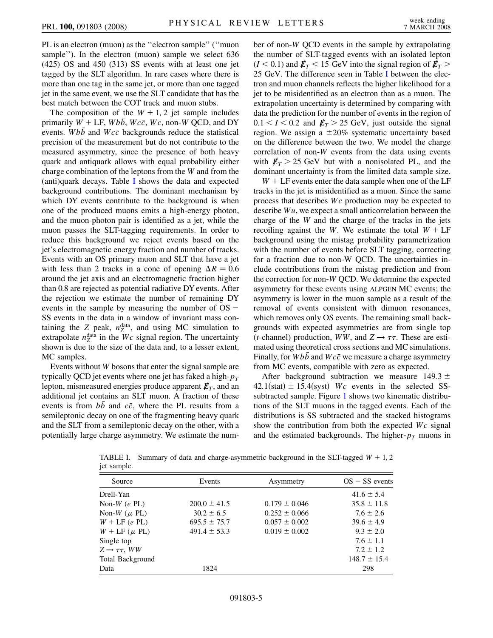PL is an electron (muon) as the ''electron sample'' (''muon sample''). In the electron (muon) sample we select 636 (425) OS and 450 (313) SS events with at least one jet tagged by the SLT algorithm. In rare cases where there is more than one tag in the same jet, or more than one tagged jet in the same event, we use the SLT candidate that has the best match between the COT track and muon stubs.

The composition of the  $W + 1$ , 2 jet sample includes primarily  $W + LF$ ,  $Wb\overline{b}$ ,  $Wc\overline{c}$ ,  $Wc$ , non-*W* QCD, and DY events. *Wbb* and *Wcc* backgrounds reduce the statistical precision of the measurement but do not contribute to the measured asymmetry, since the presence of both heavy quark and antiquark allows with equal probability either charge combination of the leptons from the *W* and from the (anti)quark decays. Table [I](#page-4-0) shows the data and expected background contributions. The dominant mechanism by which DY events contribute to the background is when one of the produced muons emits a high-energy photon, and the muon-photon pair is identified as a jet, while the muon passes the SLT-tagging requirements. In order to reduce this background we reject events based on the jet's electromagnetic energy fraction and number of tracks. Events with an OS primary muon and SLT that have a jet with less than 2 tracks in a cone of opening  $\Delta R = 0.6$ around the jet axis and an electromagnetic fraction higher than 0.8 are rejected as potential radiative DY events. After the rejection we estimate the number of remaining DY events in the sample by measuring the number of  $OS$  – SS events in the data in a window of invariant mass containing the  $Z$  peak,  $n_Z^{\text{data}}$ , and using MC simulation to extrapolate  $n_Z^{\text{data}}$  in the *Wc* signal region. The uncertainty shown is due to the size of the data and, to a lesser extent, MC samples.

Events without *W* bosons that enter the signal sample are typically QCD jet events where one jet has faked a high- $p_T$ lepton, mismeasured energies produce apparent  $\not\hspace{-.15cm}/_{T}$ , and an additional jet contains an SLT muon. A fraction of these events is from *bb* and *cc*, where the PL results from a semileptonic decay on one of the fragmenting heavy quark and the SLT from a semileptonic decay on the other, with a potentially large charge asymmetry. We estimate the number of non-*W* QCD events in the sample by extrapolating the number of SLT-tagged events with an isolated lepton  $(I < 0.1)$  and  $E_T < 15$  GeV into the signal region of  $E_T > 0$ 25 GeV. The difference seen in Table [I](#page-4-0) between the electron and muon channels reflects the higher likelihood for a jet to be misidentified as an electron than as a muon. The extrapolation uncertainty is determined by comparing with data the prediction for the number of events in the region of  $0.1 < I < 0.2$  and  $\not\hspace{-.05in}/F_T > 25$  GeV, just outside the signal region. We assign a  $\pm 20\%$  systematic uncertainty based on the difference between the two. We model the charge correlation of non-*W* events from the data using events with  $E_T > 25$  GeV but with a nonisolated PL, and the dominant uncertainty is from the limited data sample size.

 $W + LF$  events enter the data sample when one of the LF tracks in the jet is misidentified as a muon. Since the same process that describes *Wc* production may be expected to describe *Wu*, we expect a small anticorrelation between the charge of the *W* and the charge of the tracks in the jets recoiling against the *W*. We estimate the total  $W + LF$ background using the mistag probability parametrization with the number of events before SLT tagging, correcting for a fraction due to non-W QCD. The uncertainties include contributions from the mistag prediction and from the correction for non-*W* QCD. We determine the expected asymmetry for these events using ALPGEN MC events; the asymmetry is lower in the muon sample as a result of the removal of events consistent with dimuon resonances, which removes only OS events. The remaining small backgrounds with expected asymmetries are from single top (*t*-channel) production, *WW*, and  $Z \rightarrow \tau \tau$ . These are estimated using theoretical cross sections and MC simulations. Finally, for *Wbb* and *Wcc* we measure a charge asymmetry from MC events, compatible with zero as expected.

After background subtraction we measure 149.3 ±  $42.1(stat) \pm 15.4(syst)$  *Wc* events in the selected SSsubtracted sample. Figure [1](#page-5-2) shows two kinematic distributions of the SLT muons in the tagged events. Each of the distributions is SS subtracted and the stacked histograms show the contribution from both the expected *Wc* signal and the estimated backgrounds. The higher- $p<sub>T</sub>$  muons in

| Source                         | Events           | Asymmetry         | $OS - SS$ events |
|--------------------------------|------------------|-------------------|------------------|
| Drell-Yan                      |                  |                   | $41.6 \pm 5.4$   |
| Non-W $(e$ PL $)$              | $200.0 \pm 41.5$ | $0.179 \pm 0.046$ | $35.8 \pm 11.8$  |
| Non-W $(\mu$ PL)               | $30.2 \pm 6.5$   | $0.252 \pm 0.066$ | $7.6 \pm 2.6$    |
| $W + LF$ (e PL)                | $695.5 \pm 75.7$ | $0.057 \pm 0.002$ | $39.6 \pm 4.9$   |
| $W + LF (\mu PL)$              | $491.4 \pm 53.3$ | $0.019 \pm 0.002$ | $9.3 \pm 2.0$    |
| Single top                     |                  |                   | $7.6 \pm 1.1$    |
| $Z \rightarrow \tau \tau$ , WW |                  |                   | $7.2 \pm 1.2$    |
| Total Background               |                  |                   | $148.7 \pm 15.4$ |
| Data                           | 1824             |                   | 298              |

<span id="page-4-0"></span>TABLE I. Summary of data and charge-asymmetric background in the SLT-tagged  $W + 1$ , 2 jet sample.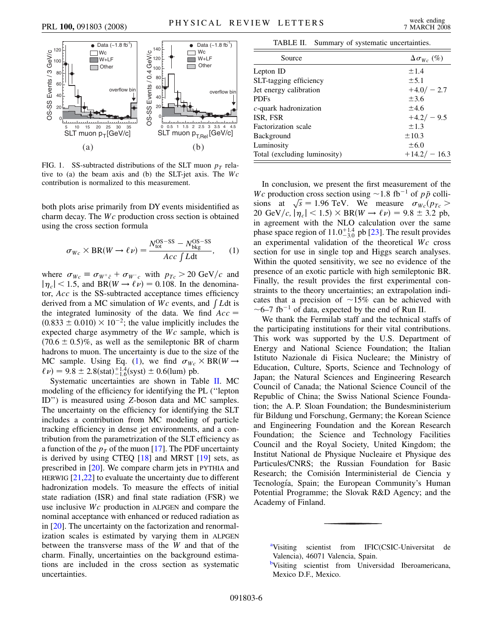<span id="page-5-2"></span>

FIG. 1. SS-subtracted distributions of the SLT muon  $p_T$  relative to (a) the beam axis and (b) the SLT-jet axis. The *Wc* contribution is normalized to this measurement.

<span id="page-5-3"></span>both plots arise primarily from DY events misidentified as charm decay. The *Wc* production cross section is obtained using the cross section formula

$$
\sigma_{Wc} \times \text{BR}(W \to \ell \nu) = \frac{N_{\text{tot}}^{\text{OS-SS}} - N_{\text{bkg}}^{\text{OS-SS}}}{Acc \int Ldt}, \quad (1)
$$

where  $\sigma_{Wc} \equiv \sigma_{W^+\bar{c}} + \sigma_{W^-c}$  with  $p_{Tc} > 20 \text{ GeV}/c$  and  $|\eta_c|$  < 1.5, and BR(*W*  $\rightarrow \ell \nu$ ) = 0.108. In the denominator, *Acc* is the SS-subtracted acceptance times efficiency derived from a MC simulation of *Wc* events, and  $\int L dt$  is the integrated luminosity of the data. We find *Acc*  $(0.833 \pm 0.010) \times 10^{-2}$ ; the value implicitly includes the expected charge asymmetry of the *Wc* sample, which is  $(70.6 \pm 0.5)\%$ , as well as the semileptonic BR of charm hadrons to muon. The uncertainty is due to the size of the MC sample. Using Eq. ([1\)](#page-5-3), we find  $\sigma_{W_c} \times BR(W \rightarrow$  $\ell \nu$  = 9.8 ± 2.8(stat)<sup>-1.4</sup><sub>-1.6</sub>(syst) ± 0.6(lum) pb.

Systematic uncertainties are shown in Table [II.](#page-5-4) MC modeling of the efficiency for identifying the PL (''lepton ID'') is measured using *Z*-boson data and MC samples. The uncertainty on the efficiency for identifying the SLT includes a contribution from MC modeling of particle tracking efficiency in dense jet environments, and a contribution from the parametrization of the SLT efficiency as a function of the  $p_T$  of the muon [\[17\]](#page-6-32). The PDF uncertainty is derived by using CTEQ [[18\]](#page-6-33) and MRST [[19](#page-6-34)] sets, as prescribed in [[20](#page-6-35)]. We compare charm jets in PYTHIA and HERWIG [[21](#page-6-36),[22](#page-6-37)] to evaluate the uncertainty due to different hadronization models. To measure the effects of initial state radiation (ISR) and final state radiation (FSR) we use inclusive *Wc* production in ALPGEN and compare the nominal acceptance with enhanced or reduced radiation as in [\[20\]](#page-6-35). The uncertainty on the factorization and renormalization scales is estimated by varying them in ALPGEN between the transverse mass of the *W* and that of the charm. Finally, uncertainties on the background estimations are included in the cross section as systematic uncertainties.

TABLE II. Summary of systematic uncertainties.

<span id="page-5-4"></span>

| Source                       | $\Delta \sigma_{W_c}$ (%) |
|------------------------------|---------------------------|
| Lepton ID                    | ±1.4                      |
| SLT-tagging efficiency       | $\pm$ 5.1                 |
| Jet energy calibration       | $+4.0/-2.7$               |
| <b>PDFs</b>                  | $\pm$ 3.6                 |
| $c$ -quark hadronization     | ±4.6                      |
| ISR, FSR                     | $+4.2/-9.5$               |
| Factorization scale          | ±1.3                      |
| <b>Background</b>            | $\pm 10.3$                |
| Luminosity                   | $\pm 6.0$                 |
| Total (excluding luminosity) | $+14.2/-16.3$             |

In conclusion, we present the first measurement of the *Wc* production cross section using  $\sim$  1.8 fb<sup>-1</sup> of *pp* colli*si wc* production cross section using  $\approx$  1.8 10  $\approx$  01 *pp* com-<br>sions at  $\sqrt{s}$  = 1.96 TeV. We measure  $\sigma_{Wc}(p_{Tc})$  $20 \text{ GeV}/c, |\eta_c| < 1.5$ )  $\times$  BR(*W*  $\rightarrow \ell \nu$ ) = 9.8 ± 3.2 pb, in agreement with the NLO calculation over the same phase space region of  $11.0^{+1.4}_{-3.0}$  pb [[23](#page-6-38)]. The result provides an experimental validation of the theoretical *Wc* cross section for use in single top and Higgs search analyses. Within the quoted sensitivity, we see no evidence of the presence of an exotic particle with high semileptonic BR. Finally, the result provides the first experimental constraints to the theory uncertainties; an extrapolation indicates that a precision of  $\sim 15\%$  can be achieved with  $\sim$  6–7 fb<sup>-1</sup> of data, expected by the end of Run II.

We thank the Fermilab staff and the technical staffs of the participating institutions for their vital contributions. This work was supported by the U.S. Department of Energy and National Science Foundation; the Italian Istituto Nazionale di Fisica Nucleare; the Ministry of Education, Culture, Sports, Science and Technology of Japan; the Natural Sciences and Engineering Research Council of Canada; the National Science Council of the Republic of China; the Swiss National Science Foundation; the A. P. Sloan Foundation; the Bundesministerium für Bildung und Forschung, Germany; the Korean Science and Engineering Foundation and the Korean Research Foundation; the Science and Technology Facilities Council and the Royal Society, United Kingdom; the Institut National de Physique Nucleaire et Physique des Particules/CNRS; the Russian Foundation for Basic Research; the Comisión Interministerial de Ciencia y Tecnología, Spain; the European Community's Human Potential Programme; the Slovak R&D Agency; and the Academy of Finland.

<span id="page-5-1"></span><span id="page-5-0"></span><sup>&</sup>lt;sup>[a](#page-0-0)</sup>Visiting scientist from IFIC(CSIC-Universitat de Valencia), 46071 Valencia, Spain.

**[b](#page-0-1)**Visiting scientist from Universidad Iberoamericana, Mexico D.F., Mexico.